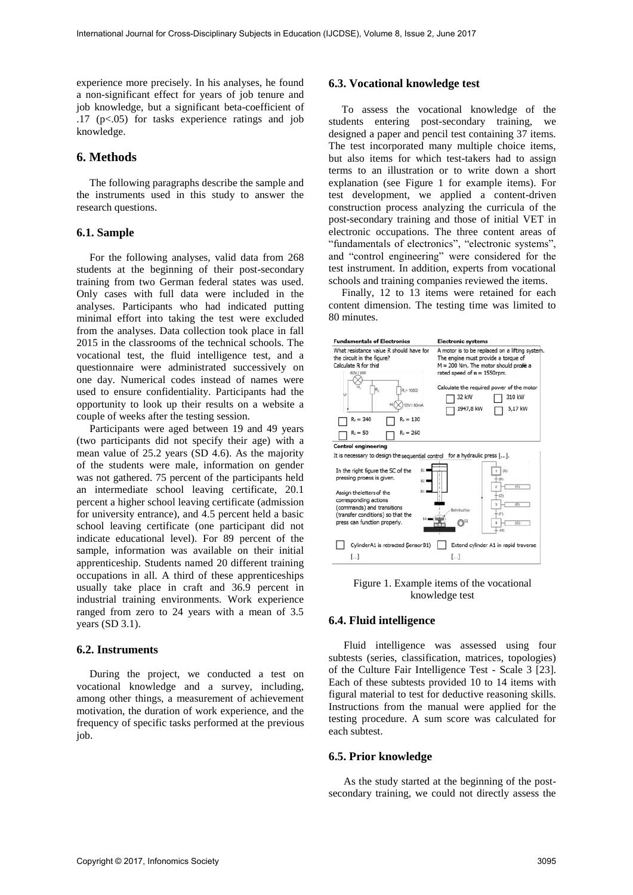experience more precisely. In his analyses, he found a non-significant effect for years of job tenure and job knowledge, but a significant beta-coefficient of .17 (p<.05) for tasks experience ratings and job knowledge.

## **6. Methods**

The following paragraphs describe the sample and the instruments used in this study to answer the research questions.

#### **6.1. Sample**

For the following analyses, valid data from 268 students at the beginning of their post-secondary training from two German federal states was used. Only cases with full data were included in the analyses. Participants who had indicated putting minimal effort into taking the test were excluded from the analyses. Data collection took place in fall 2015 in the classrooms of the technical schools. The vocational test, the fluid intelligence test, and a questionnaire were administrated successively on one day. Numerical codes instead of names were used to ensure confidentiality. Participants had the opportunity to look up their results on a website a couple of weeks after the testing session.

Participants were aged between 19 and 49 years (two participants did not specify their age) with a mean value of 25.2 years (SD 4.6). As the majority of the students were male, information on gender was not gathered. 75 percent of the participants held an intermediate school leaving certificate, 20.1 percent a higher school leaving certificate (admission for university entrance), and 4.5 percent held a basic school leaving certificate (one participant did not indicate educational level). For 89 percent of the sample, information was available on their initial apprenticeship. Students named 20 different training occupations in all. A third of these apprenticeships usually take place in craft and 36.9 percent in industrial training environments. Work experience ranged from zero to 24 years with a mean of 3.5 years (SD 3.1).

#### **6.2. Instruments**

During the project, we conducted a test on vocational knowledge and a survey, including, among other things, a measurement of achievement motivation, the duration of work experience, and the frequency of specific tasks performed at the previous job.

#### **6.3. Vocational knowledge test**

To assess the vocational knowledge of the students entering post-secondary training, we designed a paper and pencil test containing 37 items. The test incorporated many multiple choice items, but also items for which test-takers had to assign terms to an illustration or to write down a short explanation (see Figure 1 for example items). For test development, we applied a content-driven construction process analyzing the curricula of the post-secondary training and those of initial VET in electronic occupations. The three content areas of "fundamentals of electronics", "electronic systems", and "control engineering" were considered for the test instrument. In addition, experts from vocational schools and training companies reviewed the items.

Finally, 12 to 13 items were retained for each content dimension. The testing time was limited to 80 minutes.



Figure 1. Example items of the vocational knowledge test

#### **6.4. Fluid intelligence**

Fluid intelligence was assessed using four subtests (series, classification, matrices, topologies) of the Culture Fair Intelligence Test - Scale 3 [23]. Each of these subtests provided 10 to 14 items with figural material to test for deductive reasoning skills. Instructions from the manual were applied for the testing procedure. A sum score was calculated for each subtest.

#### **6.5. Prior knowledge**

As the study started at the beginning of the postsecondary training, we could not directly assess the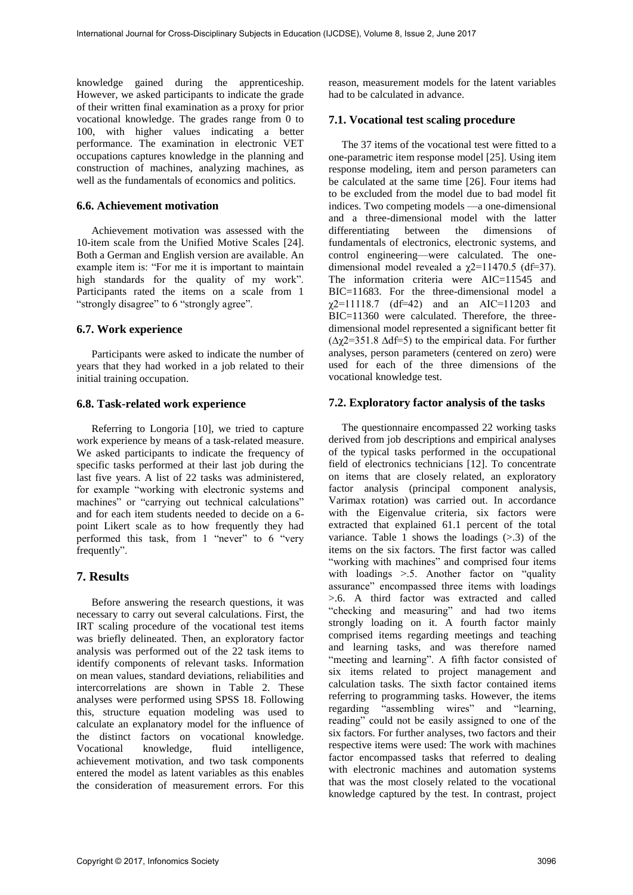knowledge gained during the apprenticeship. However, we asked participants to indicate the grade of their written final examination as a proxy for prior vocational knowledge. The grades range from 0 to 100, with higher values indicating a better performance. The examination in electronic VET occupations captures knowledge in the planning and construction of machines, analyzing machines, as well as the fundamentals of economics and politics.

### **6.6. Achievement motivation**

Achievement motivation was assessed with the 10-item scale from the Unified Motive Scales [24]. Both a German and English version are available. An example item is: "For me it is important to maintain high standards for the quality of my work". Participants rated the items on a scale from 1 "strongly disagree" to 6 "strongly agree".

## **6.7. Work experience**

Participants were asked to indicate the number of years that they had worked in a job related to their initial training occupation.

#### **6.8. Task-related work experience**

Referring to Longoria [10], we tried to capture work experience by means of a task-related measure. We asked participants to indicate the frequency of specific tasks performed at their last job during the last five years. A list of 22 tasks was administered, for example "working with electronic systems and machines" or "carrying out technical calculations" and for each item students needed to decide on a 6 point Likert scale as to how frequently they had performed this task, from 1 "never" to 6 "very frequently".

# **7. Results**

Before answering the research questions, it was necessary to carry out several calculations. First, the IRT scaling procedure of the vocational test items was briefly delineated. Then, an exploratory factor analysis was performed out of the 22 task items to identify components of relevant tasks. Information on mean values, standard deviations, reliabilities and intercorrelations are shown in Table 2. These analyses were performed using SPSS 18. Following this, structure equation modeling was used to calculate an explanatory model for the influence of the distinct factors on vocational knowledge. Vocational knowledge, fluid intelligence, achievement motivation, and two task components entered the model as latent variables as this enables the consideration of measurement errors. For this

reason, measurement models for the latent variables had to be calculated in advance.

## **7.1. Vocational test scaling procedure**

The 37 items of the vocational test were fitted to a one-parametric item response model [25]. Using item response modeling, item and person parameters can be calculated at the same time [26]. Four items had to be excluded from the model due to bad model fit indices. Two competing models —a one-dimensional and a three-dimensional model with the latter differentiating between the dimensions of fundamentals of electronics, electronic systems, and control engineering—were calculated. The onedimensional model revealed a  $\chi$ 2=11470.5 (df=37). The information criteria were AIC=11545 and BIC=11683. For the three-dimensional model a  $\chi$ 2=11118.7 (df=42) and an AIC=11203 and BIC=11360 were calculated. Therefore, the threedimensional model represented a significant better fit (∆χ2=351.8 ∆df=5) to the empirical data. For further analyses, person parameters (centered on zero) were used for each of the three dimensions of the vocational knowledge test.

## **7.2. Exploratory factor analysis of the tasks**

The questionnaire encompassed 22 working tasks derived from job descriptions and empirical analyses of the typical tasks performed in the occupational field of electronics technicians [12]. To concentrate on items that are closely related, an exploratory factor analysis (principal component analysis, Varimax rotation) was carried out. In accordance with the Eigenvalue criteria, six factors were extracted that explained 61.1 percent of the total variance. Table 1 shows the loadings  $(> 0.3)$  of the items on the six factors. The first factor was called "working with machines" and comprised four items with loadings >.5. Another factor on "quality assurance" encompassed three items with loadings >.6. A third factor was extracted and called "checking and measuring" and had two items strongly loading on it. A fourth factor mainly comprised items regarding meetings and teaching and learning tasks, and was therefore named "meeting and learning". A fifth factor consisted of six items related to project management and calculation tasks. The sixth factor contained items referring to programming tasks. However, the items regarding "assembling wires" and "learning, reading" could not be easily assigned to one of the six factors. For further analyses, two factors and their respective items were used: The work with machines factor encompassed tasks that referred to dealing with electronic machines and automation systems that was the most closely related to the vocational knowledge captured by the test. In contrast, project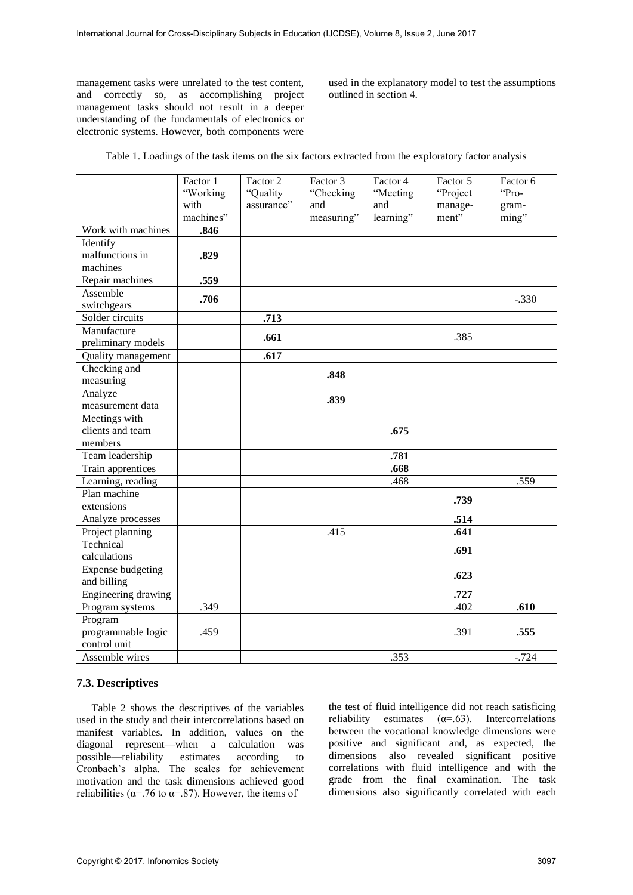management tasks were unrelated to the test content, and correctly so, as accomplishing project management tasks should not result in a deeper understanding of the fundamentals of electronics or electronic systems. However, both components were

used in the explanatory model to test the assumptions outlined in section 4.

| Table 1. Loadings of the task items on the six factors extracted from the exploratory factor analysis |  |  |
|-------------------------------------------------------------------------------------------------------|--|--|
|                                                                                                       |  |  |

|                                          | Factor 1<br>"Working<br>with | Factor 2<br>"Quality<br>assurance" | Factor 3<br>"Checking<br>and | Factor 4<br>"Meeting<br>and | Factor 5<br>"Project<br>manage- | Factor 6<br>"Pro-<br>gram- |
|------------------------------------------|------------------------------|------------------------------------|------------------------------|-----------------------------|---------------------------------|----------------------------|
| Work with machines                       | machines"<br>.846            |                                    | measuring"                   | learning"                   | ment"                           | ming"                      |
| Identify                                 |                              |                                    |                              |                             |                                 |                            |
| malfunctions in                          | .829                         |                                    |                              |                             |                                 |                            |
| machines                                 |                              |                                    |                              |                             |                                 |                            |
| Repair machines                          | .559                         |                                    |                              |                             |                                 |                            |
| Assemble                                 | .706                         |                                    |                              |                             |                                 | $-.330$                    |
| switchgears<br>Solder circuits           |                              |                                    |                              |                             |                                 |                            |
| Manufacture                              |                              | .713                               |                              |                             |                                 |                            |
|                                          |                              | .661                               |                              |                             | .385                            |                            |
| preliminary models<br>Quality management |                              | .617                               |                              |                             |                                 |                            |
| Checking and                             |                              |                                    |                              |                             |                                 |                            |
| measuring                                |                              |                                    | .848                         |                             |                                 |                            |
| Analyze                                  |                              |                                    |                              |                             |                                 |                            |
| measurement data                         |                              |                                    | .839                         |                             |                                 |                            |
| Meetings with                            |                              |                                    |                              |                             |                                 |                            |
| clients and team                         |                              |                                    |                              | .675                        |                                 |                            |
| members                                  |                              |                                    |                              |                             |                                 |                            |
| Team leadership                          |                              |                                    |                              | .781                        |                                 |                            |
| Train apprentices                        |                              |                                    |                              | .668                        |                                 |                            |
| Learning, reading                        |                              |                                    |                              | .468                        |                                 | .559                       |
| Plan machine                             |                              |                                    |                              |                             |                                 |                            |
| extensions                               |                              |                                    |                              |                             | .739                            |                            |
| Analyze processes                        |                              |                                    |                              |                             | .514                            |                            |
| Project planning                         |                              |                                    | .415                         |                             | .641                            |                            |
| Technical                                |                              |                                    |                              |                             | .691                            |                            |
| calculations                             |                              |                                    |                              |                             |                                 |                            |
| <b>Expense budgeting</b>                 |                              |                                    |                              |                             | .623                            |                            |
| and billing                              |                              |                                    |                              |                             |                                 |                            |
| <b>Engineering drawing</b>               |                              |                                    |                              |                             | .727                            |                            |
| Program systems                          | .349                         |                                    |                              |                             | .402                            | .610                       |
| Program                                  |                              |                                    |                              |                             |                                 |                            |
| programmable logic                       | .459                         |                                    |                              |                             | .391                            | .555                       |
| control unit                             |                              |                                    |                              |                             |                                 |                            |
| Assemble wires                           |                              |                                    |                              | .353                        |                                 | $-.724$                    |

## **7.3. Descriptives**

Table 2 shows the descriptives of the variables used in the study and their intercorrelations based on manifest variables. In addition, values on the diagonal represent—when a calculation was possible—reliability estimates according to Cronbach's alpha. The scales for achievement motivation and the task dimensions achieved good reliabilities ( $\alpha$ =.76 to  $\alpha$ =.87). However, the items of

the test of fluid intelligence did not reach satisficing reliability estimates  $(\alpha = .63)$ . Intercorrelations between the vocational knowledge dimensions were positive and significant and, as expected, the dimensions also revealed significant positive correlations with fluid intelligence and with the grade from the final examination. The task dimensions also significantly correlated with each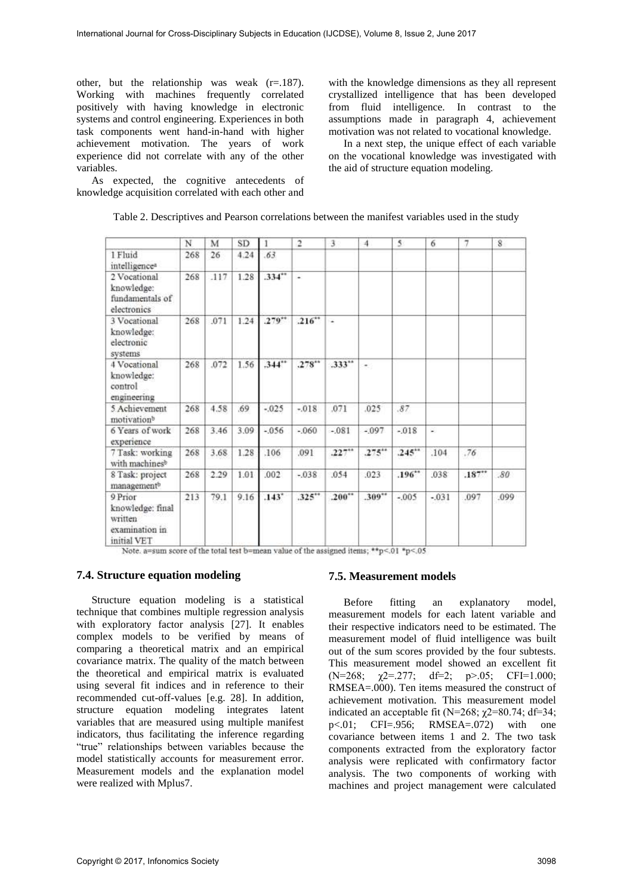other, but the relationship was weak  $(r=.187)$ . Working with machines frequently correlated positively with having knowledge in electronic systems and control engineering. Experiences in both task components went hand-in-hand with higher achievement motivation. The years of work experience did not correlate with any of the other variables.

As expected, the cognitive antecedents of knowledge acquisition correlated with each other and

with the knowledge dimensions as they all represent crystallized intelligence that has been developed from fluid intelligence. In contrast to the assumptions made in paragraph 4, achievement motivation was not related to vocational knowledge.

In a next step, the unique effect of each variable on the vocational knowledge was investigated with the aid of structure equation modeling.

|  | Table 2. Descriptives and Pearson correlations between the manifest variables used in the study |  |
|--|-------------------------------------------------------------------------------------------------|--|
|--|-------------------------------------------------------------------------------------------------|--|

|                                                                         | N   | M    | SD   | 1        | $\overline{a}$ | 3        | $\overline{A}$ | 5        | 6       | 7    | 8    |
|-------------------------------------------------------------------------|-----|------|------|----------|----------------|----------|----------------|----------|---------|------|------|
| 1 Fluid<br>intelligence <sup>a</sup>                                    | 268 | 26   | 4.24 | .63      |                |          |                |          |         |      |      |
| 2 Vocational<br>knowledge:<br>fundamentals of<br>electronics            | 268 | .117 | 1.28 | .334     | $\overline{a}$ |          |                |          |         |      |      |
| 3 Vocational<br>knowledge:<br>electronic<br>systems                     | 268 | .071 | 1.24 | $.279**$ | .216           | ×        |                |          |         |      |      |
| 4 Vocational<br>knowledge:<br>control<br>engineering                    | 268 | .072 | 1.56 | .344"    | $.278**$       | .333**   | $\mathcal{C}$  |          |         |      |      |
| 5 Achievement<br>motivation <sup>b</sup>                                | 268 | 4.58 | .69  | $-0.025$ | $-.018$        | ,071     | .025           | .87.     |         |      |      |
| 6 Years of work<br>experience                                           | 268 | 3.46 | 3.09 | $-0.056$ | $-060$         | $-.081$  | $-0.97$        | $-.018$  | ¥.      |      |      |
| 7 Task: working<br>with machinesb                                       | 268 | 3.68 | 1.28 | .106     | .091           | $.227**$ | .275           | $.245**$ | .104    | .76  |      |
| 8 Task: project<br>management <sup>b</sup>                              | 268 | 2.29 | 1.01 | .002     | $-0.038$       | .054     | .023           | .196     | .038    | .187 | .80  |
| 9 Prior<br>knowledge: final<br>written<br>examination in<br>initial VET | 213 | 79.1 | 9.16 | $.143*$  | $.325**$       | .200     | .309**         | $-.005$  | $-0.31$ | .097 | .099 |

Note. a=sum score of the total test b=mean value of the assigned items; \*\*p<.01 \*p<.05

## **7.4. Structure equation modeling**

Structure equation modeling is a statistical technique that combines multiple regression analysis with exploratory factor analysis [27]. It enables complex models to be verified by means of comparing a theoretical matrix and an empirical covariance matrix. The quality of the match between the theoretical and empirical matrix is evaluated using several fit indices and in reference to their recommended cut-off-values [e.g. 28]. In addition, structure equation modeling integrates latent variables that are measured using multiple manifest indicators, thus facilitating the inference regarding "true" relationships between variables because the model statistically accounts for measurement error. Measurement models and the explanation model were realized with Mplus7.

# **7.5. Measurement models**

Before fitting an explanatory model, measurement models for each latent variable and their respective indicators need to be estimated. The measurement model of fluid intelligence was built out of the sum scores provided by the four subtests. This measurement model showed an excellent fit (N=268;  $\chi$ 2=.277; df=2; p>.05; CFI=1.000; RMSEA=.000). Ten items measured the construct of achievement motivation. This measurement model indicated an acceptable fit (N=268;  $\chi$ 2=80.74; df=34; p<.01; CFI=.956; RMSEA=.072) with one covariance between items 1 and 2. The two task components extracted from the exploratory factor analysis were replicated with confirmatory factor analysis. The two components of working with machines and project management were calculated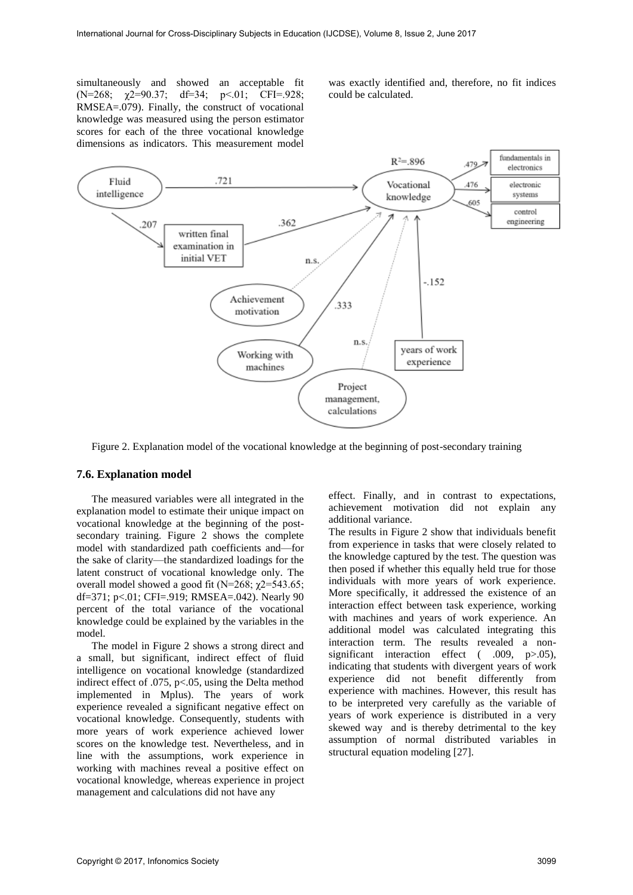simultaneously and showed an acceptable fit  $(N=268; \gamma2=90.37; df=34; p<.01; CFI=.928;$ RMSEA=.079). Finally, the construct of vocational knowledge was measured using the person estimator scores for each of the three vocational knowledge dimensions as indicators. This measurement model

was exactly identified and, therefore, no fit indices could be calculated.



Figure 2. Explanation model of the vocational knowledge at the beginning of post-secondary training

#### **7.6. Explanation model**

The measured variables were all integrated in the explanation model to estimate their unique impact on vocational knowledge at the beginning of the postsecondary training. Figure 2 shows the complete model with standardized path coefficients and—for the sake of clarity—the standardized loadings for the latent construct of vocational knowledge only. The overall model showed a good fit (N=268;  $\chi$ 2=543.65; df=371; p<.01; CFI=.919; RMSEA=.042). Nearly 90 percent of the total variance of the vocational knowledge could be explained by the variables in the model.

The model in Figure 2 shows a strong direct and a small, but significant, indirect effect of fluid intelligence on vocational knowledge (standardized indirect effect of .075, p<.05, using the Delta method implemented in Mplus). The years of work experience revealed a significant negative effect on vocational knowledge. Consequently, students with more years of work experience achieved lower scores on the knowledge test. Nevertheless, and in line with the assumptions, work experience in working with machines reveal a positive effect on vocational knowledge, whereas experience in project management and calculations did not have any

effect. Finally, and in contrast to expectations, achievement motivation did not explain any additional variance.

The results in Figure 2 show that individuals benefit from experience in tasks that were closely related to the knowledge captured by the test. The question was then posed if whether this equally held true for those individuals with more years of work experience. More specifically, it addressed the existence of an interaction effect between task experience, working with machines and years of work experience. An additional model was calculated integrating this interaction term. The results revealed a nonsignificant interaction effect ( .009, p > 05), indicating that students with divergent years of work experience did not benefit differently from experience with machines. However, this result has to be interpreted very carefully as the variable of years of work experience is distributed in a very skewed way and is thereby detrimental to the key assumption of normal distributed variables in structural equation modeling [27].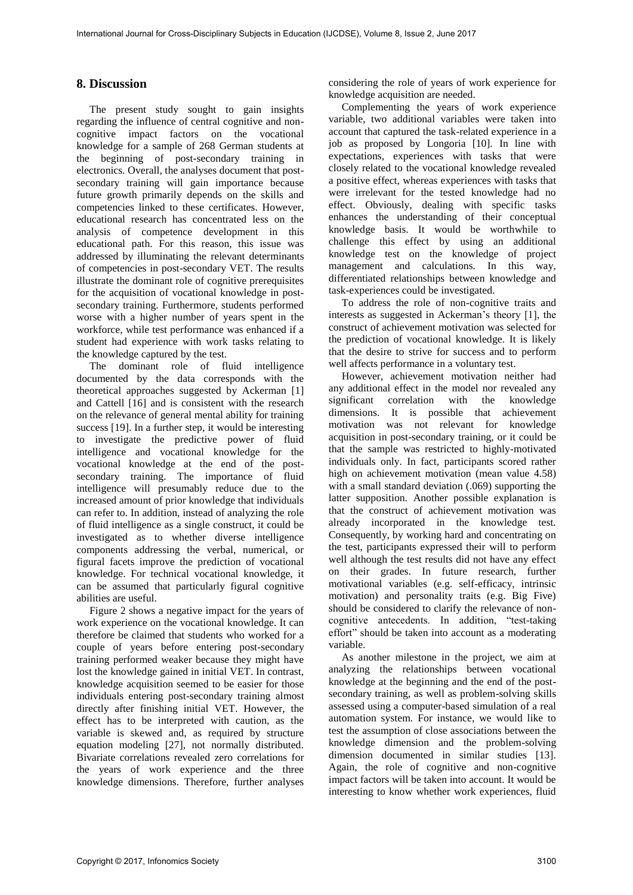# **8. Discussion**

The present study sought to gain insights regarding the influence of central cognitive and noncognitive impact factors on the vocational knowledge for a sample of 268 German students at the beginning of post-secondary training in electronics. Overall, the analyses document that postsecondary training will gain importance because future growth primarily depends on the skills and competencies linked to these certificates. However, educational research has concentrated less on the analysis of competence development in this educational path. For this reason, this issue was addressed by illuminating the relevant determinants of competencies in post-secondary VET. The results illustrate the dominant role of cognitive prerequisites for the acquisition of vocational knowledge in postsecondary training. Furthermore, students performed worse with a higher number of years spent in the workforce, while test performance was enhanced if a student had experience with work tasks relating to the knowledge captured by the test.

The dominant role of fluid intelligence documented by the data corresponds with the theoretical approaches suggested by Ackerman [1] and Cattell [16] and is consistent with the research on the relevance of general mental ability for training success [19]. In a further step, it would be interesting to investigate the predictive power of fluid intelligence and vocational knowledge for the vocational knowledge at the end of the postsecondary training. The importance of fluid intelligence will presumably reduce due to the increased amount of prior knowledge that individuals can refer to. In addition, instead of analyzing the role of fluid intelligence as a single construct, it could be investigated as to whether diverse intelligence components addressing the verbal, numerical, or figural facets improve the prediction of vocational knowledge. For technical vocational knowledge, it can be assumed that particularly figural cognitive abilities are useful.

Figure 2 shows a negative impact for the years of work experience on the vocational knowledge. It can therefore be claimed that students who worked for a couple of years before entering post-secondary training performed weaker because they might have lost the knowledge gained in initial VET. In contrast, knowledge acquisition seemed to be easier for those individuals entering post-secondary training almost directly after finishing initial VET. However, the effect has to be interpreted with caution, as the variable is skewed and, as required by structure equation modeling [27], not normally distributed. Bivariate correlations revealed zero correlations for the years of work experience and the three knowledge dimensions. Therefore, further analyses

considering the role of years of work experience for knowledge acquisition are needed.

Complementing the years of work experience variable, two additional variables were taken into account that captured the task-related experience in a job as proposed by Longoria [10]. In line with expectations, experiences with tasks that were closely related to the vocational knowledge revealed a positive effect, whereas experiences with tasks that were irrelevant for the tested knowledge had no effect. Obviously, dealing with specific tasks enhances the understanding of their conceptual knowledge basis. It would be worthwhile to challenge this effect by using an additional knowledge test on the knowledge of project management and calculations. In this way, differentiated relationships between knowledge and task-experiences could be investigated.

To address the role of non-cognitive traits and interests as suggested in Ackerman's theory [1], the construct of achievement motivation was selected for the prediction of vocational knowledge. It is likely that the desire to strive for success and to perform well affects performance in a voluntary test.

However, achievement motivation neither had any additional effect in the model nor revealed any significant correlation with the knowledge dimensions. It is possible that achievement motivation was not relevant for knowledge acquisition in post-secondary training, or it could be that the sample was restricted to highly-motivated individuals only. In fact, participants scored rather high on achievement motivation (mean value 4.58) with a small standard deviation (.069) supporting the latter supposition. Another possible explanation is that the construct of achievement motivation was already incorporated in the knowledge test. Consequently, by working hard and concentrating on the test, participants expressed their will to perform well although the test results did not have any effect on their grades. In future research, further motivational variables (e.g. self-efficacy, intrinsic motivation) and personality traits (e.g. Big Five) should be considered to clarify the relevance of noncognitive antecedents. In addition, "test-taking effort" should be taken into account as a moderating variable.

As another milestone in the project, we aim at analyzing the relationships between vocational knowledge at the beginning and the end of the postsecondary training, as well as problem-solving skills assessed using a computer-based simulation of a real automation system. For instance, we would like to test the assumption of close associations between the knowledge dimension and the problem-solving dimension documented in similar studies [13]. Again, the role of cognitive and non-cognitive impact factors will be taken into account. It would be interesting to know whether work experiences, fluid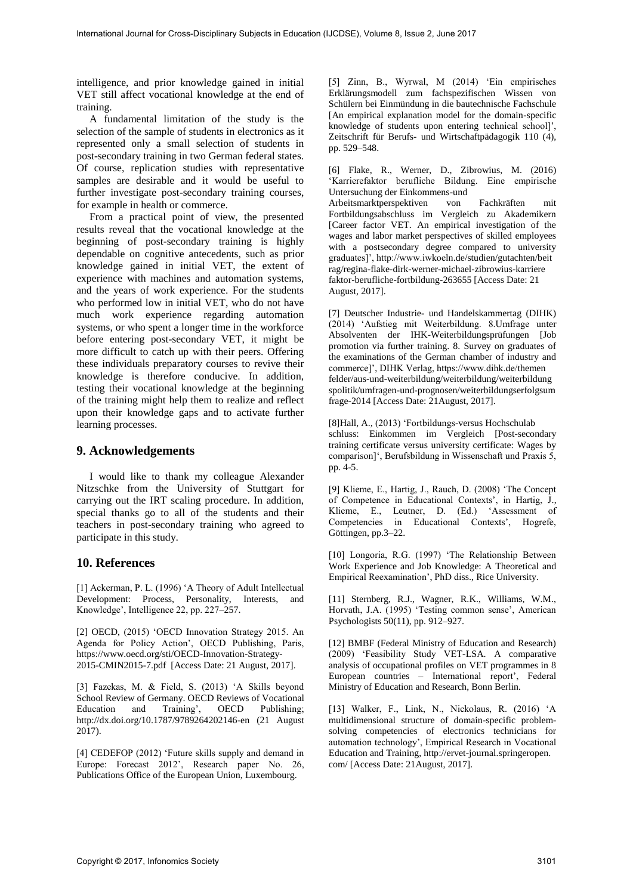intelligence, and prior knowledge gained in initial VET still affect vocational knowledge at the end of training.

A fundamental limitation of the study is the selection of the sample of students in electronics as it represented only a small selection of students in post-secondary training in two German federal states. Of course, replication studies with representative samples are desirable and it would be useful to further investigate post-secondary training courses, for example in health or commerce.

From a practical point of view, the presented results reveal that the vocational knowledge at the beginning of post-secondary training is highly dependable on cognitive antecedents, such as prior knowledge gained in initial VET, the extent of experience with machines and automation systems, and the years of work experience. For the students who performed low in initial VET, who do not have much work experience regarding automation systems, or who spent a longer time in the workforce before entering post-secondary VET, it might be more difficult to catch up with their peers. Offering these individuals preparatory courses to revive their knowledge is therefore conducive. In addition, testing their vocational knowledge at the beginning of the training might help them to realize and reflect upon their knowledge gaps and to activate further learning processes.

# **9. Acknowledgements**

I would like to thank my colleague Alexander Nitzschke from the University of Stuttgart for carrying out the IRT scaling procedure. In addition, special thanks go to all of the students and their teachers in post-secondary training who agreed to participate in this study.

## **10. References**

[1] Ackerman, P. L. (1996) 'A Theory of Adult Intellectual Development: Process, Personality, Interests, and Knowledge', Intelligence 22, pp. 227–257.

[2] OECD, (2015) 'OECD Innovation Strategy 2015. An Agenda for Policy Action', OECD Publishing, Paris, https://www.oecd.org/sti/OECD-Innovation-Strategy-2015-CMIN2015-7.pdf [Access Date: 21 August, 2017].

[3] Fazekas, M. & Field, S. (2013) 'A Skills beyond School Review of Germany. OECD Reviews of Vocational Education and Training', OECD Publishing; http://dx.doi.org/10.1787/9789264202146-en (21 August 2017).

[4] CEDEFOP (2012) 'Future skills supply and demand in Europe: Forecast 2012', Research paper No. 26, Publications Office of the European Union, Luxembourg.

[5] Zinn, B., Wyrwal, M (2014) 'Ein empirisches Erklärungsmodell zum fachspezifischen Wissen von Schülern bei Einmündung in die bautechnische Fachschule [An empirical explanation model for the domain-specific knowledge of students upon entering technical school]', Zeitschrift für Berufs- und Wirtschaftpädagogik 110 (4), pp. 529–548.

[6] Flake, R., Werner, D., Zibrowius, M. (2016) 'Karrierefaktor berufliche Bildung. Eine empirische Untersuchung der Einkommens-und

Arbeitsmarktperspektiven von Fachkräften mit Fortbildungsabschluss im Vergleich zu Akademikern [Career factor VET. An empirical investigation of the wages and labor market perspectives of skilled employees with a postsecondary degree compared to university graduates]', http://www.iwkoeln.de/studien/gutachten/beit rag/regina-flake-dirk-werner-michael-zibrowius-karriere faktor-berufliche-fortbildung-263655 [Access Date: 21 August, 2017].

[7] Deutscher Industrie- und Handelskammertag (DIHK) (2014) 'Aufstieg mit Weiterbildung. 8.Umfrage unter Absolventen der IHK-Weiterbildungsprüfungen [Job promotion via further training. 8. Survey on graduates of the examinations of the German chamber of industry and commerce]', DIHK Verlag, https://www.dihk.de/themen felder/aus-und-weiterbildung/weiterbildung/weiterbildung spolitik/umfragen-und-prognosen/weiterbildungserfolgsum frage-2014 [Access Date: 21August, 2017].

[8]Hall, A., (2013) 'Fortbildungs-versus Hochschulab schluss: Einkommen im Vergleich [Post-secondary training certificate versus university certificate: Wages by comparison]', Berufsbildung in Wissenschaft und Praxis 5, pp. 4-5.

[9] Klieme, E., Hartig, J., Rauch, D. (2008) 'The Concept of Competence in Educational Contexts', in Hartig, J., Klieme, E., Leutner, D. (Ed.) 'Assessment of Competencies in Educational Contexts', Hogrefe, Göttingen, pp.3–22.

[10] Longoria, R.G. (1997) 'The Relationship Between Work Experience and Job Knowledge: A Theoretical and Empirical Reexamination', PhD diss., Rice University.

[11] Sternberg, R.J., Wagner, R.K., Williams, W.M., Horvath, J.A. (1995) 'Testing common sense', American Psychologists 50(11), pp. 912–927.

[12] BMBF (Federal Ministry of Education and Research) (2009) 'Feasibility Study VET-LSA. A comparative analysis of occupational profiles on VET programmes in 8 European countries – International report', Federal Ministry of Education and Research, Bonn Berlin.

[13] Walker, F., Link, N., Nickolaus, R. (2016) 'A multidimensional structure of domain-specific problemsolving competencies of electronics technicians for automation technology', Empirical Research in Vocational Education and Training, http://ervet-journal.springeropen. com/ [Access Date: 21August, 2017].